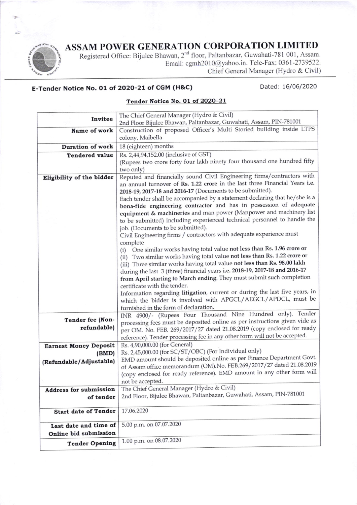## ASSAM POWER GENERATION CORPORATION LIMITED



Registered Office: Bijulee Bhawan, 2<sup>nd</sup> floor, Paltanbazar, Guwahati-781 001, Assam. Email: cgmh2010@yahoo.in. Tele-Fax: 0361-2739522. Chief General Manager (Hydro & Civil)

## E-Tender Notice No. 01 of 2o2o-21 of cGM (H&C)

Dated: 16/06/2020

## Tender Notice No. O1 of 2020-21

| Invitee                       | The Chief General Manager (Hydro & Civil)                                                                                                                |
|-------------------------------|----------------------------------------------------------------------------------------------------------------------------------------------------------|
|                               | 2nd Floor Bijulee Bhawan, Paltanbazar, Guwahati, Assam, PIN-781001                                                                                       |
| Name of work                  | Construction of proposed Officer's Multi Storied building inside LTPS                                                                                    |
|                               | colony, Maibella                                                                                                                                         |
| <b>Duration of work</b>       | 18 (eighteen) months                                                                                                                                     |
| <b>Tendered value</b>         | Rs. 2,44,94,152.00 (inclusive of GST)                                                                                                                    |
|                               | (Rupees two crore forty four lakh ninety four thousand one hundred fifty                                                                                 |
|                               | two only)                                                                                                                                                |
| Eligibility of the bidder     | Reputed and financially sound Civil Engineering firms/contractors with                                                                                   |
|                               | an annual turnover of Rs. 1.22 crore in the last three Financial Years i.e.                                                                              |
|                               | 2018-19, 2017-18 and 2016-17 (Documents to be submitted).<br>Each tender shall be accompanied by a statement declaring that he/she is a                  |
|                               | bona-fide engineering contractor and has in possession of adequate                                                                                       |
|                               | equipment & machineries and man power (Manpower and machinery list                                                                                       |
|                               | to be submitted) including experienced technical personnel to handle the                                                                                 |
|                               | job. (Documents to be submitted).                                                                                                                        |
|                               | Civil Engineering firms / contractors with adequate experience must                                                                                      |
|                               | complete                                                                                                                                                 |
|                               | (i) One similar works having total value not less than Rs. 1.96 crore or                                                                                 |
|                               | (ii) Two similar works having total value not less than Rs. 1.22 crore or                                                                                |
|                               | (iii) Three similar works having total value not less than Rs. 98.00 lakh<br>during the last 3 (three) financial years i.e. 2018-19, 2017-18 and 2016-17 |
|                               | from April starting to March ending. They must submit such completion                                                                                    |
|                               | certificate with the tender.                                                                                                                             |
|                               | Information regarding litigation, current or during the last five years, in                                                                              |
|                               | which the bidder is involved with APGCL/AEGCL/APDCL, must be                                                                                             |
|                               | furnished in the form of declaration.                                                                                                                    |
|                               | INR 4900/- (Rupees Four Thousand Nine Hundred only). Tender                                                                                              |
| Tender fee (Non-              | processing fees must be deposited online as per instructions given vide as                                                                               |
| refundable)                   | per OM. No. FEB. 269/2017/27 dated 21.08.2019 (copy enclosed for ready                                                                                   |
|                               | reference). Tender processing fee in any other form will not be accepted.                                                                                |
| <b>Earnest Money Deposit</b>  | Rs. 4,90,000.00 (for General)<br>Rs. 2,45,000.00 (for SC/ST/OBC) (For Individual only)                                                                   |
| (EMD)                         | EMD amount should be deposited online as per Finance Department Govt.                                                                                    |
| (Refundable/Adjustable)       | of Assam office memorandum (OM). No. FEB.269/2017/27 dated 21.08.2019                                                                                    |
|                               | (copy enclosed for ready reference). EMD amount in any other form will                                                                                   |
|                               | not be accepted.                                                                                                                                         |
| <b>Address for submission</b> | The Chief General Manager (Hydro & Civil)                                                                                                                |
| of tender                     | 2nd Floor, Bijulee Bhawan, Paltanbazar, Guwahati, Assam, PIN-781001                                                                                      |
|                               |                                                                                                                                                          |
| <b>Start date of Tender</b>   | 17.06.2020                                                                                                                                               |
| Last date and time of         | 5.00 p.m. on 07.07.2020                                                                                                                                  |
| Online bid submission         |                                                                                                                                                          |
| <b>Tender Opening</b>         | 1.00 p.m. on 08.07.2020                                                                                                                                  |